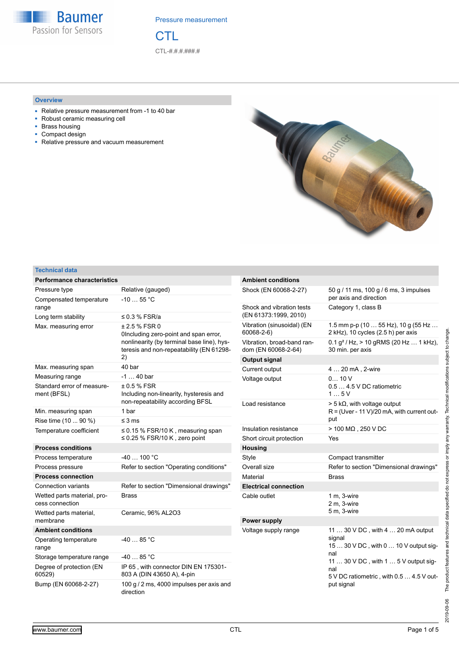

**CTL** CTL-#.#.#.###.#

# **Overview**

- Relative pressure measurement from -1 to 40 bar
- Robust ceramic measuring cell
- Brass housing
- Compact design
- Relative pressure and vacuum measurement



# **Technical data**

| <b>Performance characteristics</b>             |                                                                                                                                                        | <b>Ambient conditions</b>                          |                                                                                         |  |
|------------------------------------------------|--------------------------------------------------------------------------------------------------------------------------------------------------------|----------------------------------------------------|-----------------------------------------------------------------------------------------|--|
| Pressure type                                  | Relative (gauged)                                                                                                                                      | Shock (EN 60068-2-27)                              | 50 g / 11 ms, 100 g / 6 ms, 3 impulses<br>per axis and direction                        |  |
| Compensated temperature                        | $-1055$ °C                                                                                                                                             |                                                    |                                                                                         |  |
| range                                          |                                                                                                                                                        | Shock and vibration tests<br>(EN 61373:1999, 2010) | Category 1, class B                                                                     |  |
| Long term stability                            | $\leq$ 0.3 % FSR/a                                                                                                                                     | Vibration (sinusoidal) (EN                         | 1.5 mm p-p (10  55 Hz), 10 g (55 Hz                                                     |  |
| Max. measuring error                           | ± 2.5 % FSR 0<br>Olncluding zero-point and span error,<br>nonlinearity (by terminal base line), hys-<br>teresis and non-repeatability (EN 61298-<br>2) | 60068-2-6)                                         | 2 kHz), 10 cycles (2.5 h) per axis                                                      |  |
|                                                |                                                                                                                                                        | Vibration, broad-band ran-<br>dom (EN 60068-2-64)  | $0.1 g2$ / Hz, > 10 gRMS (20 Hz  1 kHz),<br>30 min. per axis                            |  |
|                                                |                                                                                                                                                        | <b>Output signal</b>                               |                                                                                         |  |
| Max. measuring span                            | 40 bar                                                                                                                                                 | Current output                                     | 4  20 mA, 2-wire                                                                        |  |
| Measuring range                                | $-1$ 40 bar                                                                                                                                            | Voltage output                                     | 010V                                                                                    |  |
| Standard error of measure-<br>ment (BFSL)      | $±0.5%$ FSR<br>Including non-linearity, hysteresis and                                                                                                 |                                                    | 0.5  4.5 V DC ratiometric<br>15V                                                        |  |
|                                                | non-repeatability according BFSL                                                                                                                       | Load resistance                                    | $> 5 k\Omega$ , with voltage output                                                     |  |
| Min. measuring span                            | 1 bar                                                                                                                                                  |                                                    | $R =$ (Uver - 11 V)/20 mA, with current out-                                            |  |
| Rise time (10  90 %)                           | $\leq$ 3 ms                                                                                                                                            |                                                    | put                                                                                     |  |
| Temperature coefficient                        | $\leq$ 0.15 % FSR/10 K, measuring span<br>$\leq$ 0.25 % FSR/10 K, zero point                                                                           | Insulation resistance                              | > 100 MΩ, 250 V DC                                                                      |  |
|                                                |                                                                                                                                                        | Short circuit protection                           | Yes                                                                                     |  |
| <b>Process conditions</b>                      |                                                                                                                                                        | <b>Housing</b>                                     |                                                                                         |  |
| Process temperature                            | $-40100 °C$                                                                                                                                            | Style                                              | Compact transmitter                                                                     |  |
| Process pressure                               | Refer to section "Operating conditions"                                                                                                                | Overall size                                       | Refer to section "Dimensional drawings"                                                 |  |
| <b>Process connection</b>                      |                                                                                                                                                        | Material                                           | <b>Brass</b>                                                                            |  |
| <b>Connection variants</b>                     | Refer to section "Dimensional drawings"                                                                                                                | <b>Electrical connection</b>                       |                                                                                         |  |
| Wetted parts material, pro-<br>cess connection | <b>Brass</b>                                                                                                                                           | Cable outlet                                       | 1 m, 3-wire<br>2 m, 3-wire                                                              |  |
| Wetted parts material,                         | Ceramic, 96% AL2O3                                                                                                                                     |                                                    | 5 m, 3-wire                                                                             |  |
| membrane                                       |                                                                                                                                                        | <b>Power supply</b>                                |                                                                                         |  |
| <b>Ambient conditions</b>                      |                                                                                                                                                        | Voltage supply range                               | 11  30 V DC, with 4  20 mA output                                                       |  |
| Operating temperature<br>range                 | $-4085 °C$                                                                                                                                             |                                                    | signal<br>15  30 V DC, with 0  10 V output sig-                                         |  |
| Storage temperature range                      | $-4085 °C$                                                                                                                                             |                                                    | nal                                                                                     |  |
| Degree of protection (EN<br>60529)             | IP 65, with connector DIN EN 175301-<br>803 A (DIN 43650 A), 4-pin                                                                                     |                                                    | 11  30 V DC, with 1  5 V output sig-<br>nal<br>5 V DC ratiometric, with 0.5  4.5 V out- |  |
| Bump (EN 60068-2-27)                           | 100 g / 2 ms, 4000 impulses per axis and<br>direction                                                                                                  |                                                    | put signal                                                                              |  |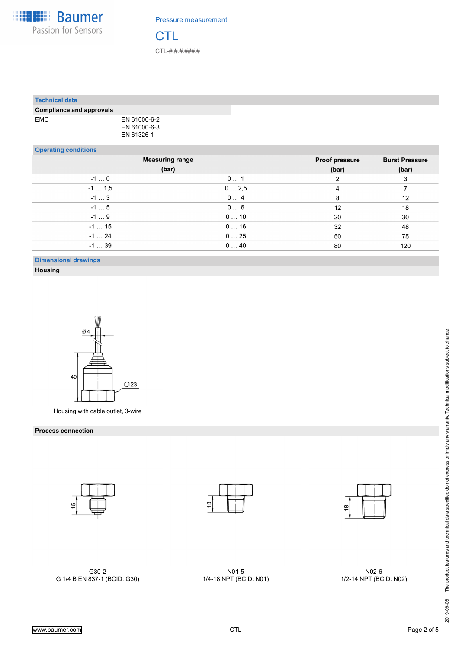

**CTL** CTL-#.#.#.###.#

| <b>Technical data</b>           |                                            |      |                       |                       |
|---------------------------------|--------------------------------------------|------|-----------------------|-----------------------|
| <b>Compliance and approvals</b> |                                            |      |                       |                       |
| <b>EMC</b>                      | EN 61000-6-2<br>EN 61000-6-3<br>EN 61326-1 |      |                       |                       |
| <b>Operating conditions</b>     |                                            |      |                       |                       |
|                                 | <b>Measuring range</b>                     |      | <b>Proof pressure</b> | <b>Burst Pressure</b> |
|                                 | (bar)                                      |      | (bar)                 | (bar)                 |
| $-10$                           |                                            | 01   | $\overline{2}$        | 3                     |
| $-11,5$                         |                                            | 02,5 | 4                     |                       |

| $-1$ 1,5 | 02,5 |    |     |
|----------|------|----|-----|
| $-13$    | 04   |    | 12  |
| $-15$    | 06   | 12 | 18  |
| $-19$    | 010  | 20 | 30  |
| $-115$   | 016  | 32 | 48  |
| $-1$ 24  | 025  | 50 | 75  |
| $-139$   | 040  | 80 | 120 |
|          |      |    |     |

**Dimensional drawings**

**Housing**



Housing with cable outlet, 3-wire

### **Process connection**







G30-2 G 1/4 B EN 837-1 (BCID: G30)

N01-5 1/4-18 NPT (BCID: N01)

N02-6 1/2-14 NPT (BCID: N02)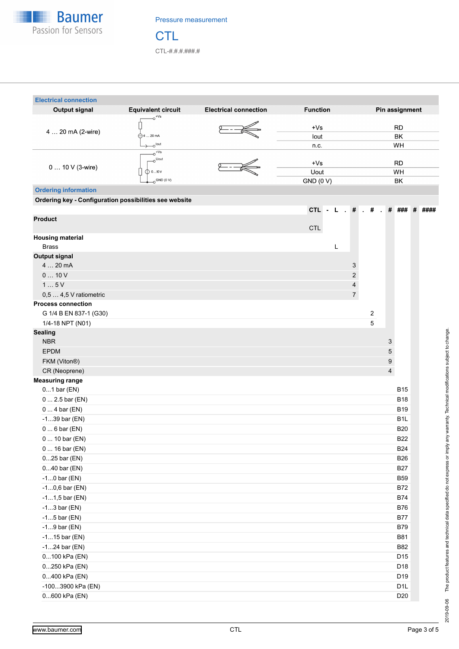

**CTL** CTL-#.#.#.###.#

| <b>Electrical connection</b>                           |                                                 |                              |                         |                  |
|--------------------------------------------------------|-------------------------------------------------|------------------------------|-------------------------|------------------|
| <b>Output signal</b>                                   | <b>Equivalent circuit</b><br>$0$ <sup>+Vs</sup> | <b>Electrical connection</b> | <b>Function</b>         | Pin assignment   |
| 4  20 mA (2-wire)                                      |                                                 |                              | $+Vs$                   | <b>RD</b>        |
|                                                        | $\bigominus$ 4  20 mA                           |                              | lout                    | ВK               |
|                                                        | o <sup>lout</sup>                               |                              | n.c.                    | WH               |
|                                                        | $-0$ <sup>+Vs</sup>                             |                              |                         |                  |
| 0  10 V (3-wire)                                       | $\sim^{\text{Uout}}$                            |                              | $+Vs$                   | <b>RD</b>        |
|                                                        | $\mathbb{O}$ 010 V                              |                              | Uout                    | WH               |
|                                                        | $O$ GND (0 V)                                   |                              | <b>GND (0 V)</b>        | BK               |
| <b>Ordering information</b>                            |                                                 |                              |                         |                  |
| Ordering key - Configuration possibilities see website |                                                 |                              |                         |                  |
|                                                        |                                                 |                              | CTL - L $. # . #$       | # ###<br># ####  |
| <b>Product</b>                                         |                                                 |                              | <b>CTL</b>              |                  |
| <b>Housing material</b>                                |                                                 |                              |                         |                  |
| <b>Brass</b>                                           |                                                 |                              | L                       |                  |
| <b>Output signal</b>                                   |                                                 |                              |                         |                  |
| 4  20 mA                                               |                                                 |                              | 3                       |                  |
| 010V                                                   |                                                 |                              | $\overline{a}$          |                  |
| 15V                                                    |                                                 |                              | $\overline{\mathbf{4}}$ |                  |
| 0,5  4,5 V ratiometric                                 |                                                 |                              | $\overline{7}$          |                  |
| <b>Process connection</b>                              |                                                 |                              |                         |                  |
| G 1/4 B EN 837-1 (G30)                                 |                                                 |                              |                         | 2                |
| 1/4-18 NPT (N01)                                       |                                                 |                              |                         | 5                |
| <b>Sealing</b>                                         |                                                 |                              |                         |                  |
| <b>NBR</b>                                             |                                                 |                              |                         | 3                |
| <b>EPDM</b>                                            |                                                 |                              |                         | 5                |
| FKM (Viton®)                                           |                                                 |                              |                         | 9                |
| CR (Neoprene)                                          |                                                 |                              |                         | 4                |
| <b>Measuring range</b>                                 |                                                 |                              |                         |                  |
| $01$ bar $(EN)$                                        |                                                 |                              |                         | <b>B15</b>       |
| $0 2.5$ bar (EN)                                       |                                                 |                              |                         | <b>B18</b>       |
| $04$ bar (EN)                                          |                                                 |                              |                         | <b>B19</b>       |
| $-139$ bar (EN)                                        |                                                 |                              |                         | B <sub>1</sub> L |
| $06$ bar (EN)                                          |                                                 |                              |                         | <b>B20</b>       |
| $0 10$ bar (EN)                                        |                                                 |                              |                         | <b>B22</b>       |
| $016$ bar (EN)                                         |                                                 |                              |                         | <b>B24</b>       |
| 025 bar (EN)                                           |                                                 |                              |                         | <b>B26</b>       |
| 040 bar (EN)                                           |                                                 |                              |                         | <b>B27</b>       |
| $-10$ bar (EN)                                         |                                                 |                              |                         | <b>B59</b>       |
| $-10,6$ bar (EN)                                       |                                                 |                              |                         | <b>B72</b>       |
| $-11,5$ bar (EN)                                       |                                                 |                              |                         | <b>B74</b>       |
| $-13$ bar (EN)                                         |                                                 |                              |                         | <b>B76</b>       |
| $-15$ bar (EN)                                         |                                                 |                              |                         | <b>B77</b>       |
| $-19$ bar (EN)                                         |                                                 |                              |                         | <b>B79</b>       |
| $-115$ bar (EN)                                        |                                                 |                              |                         | <b>B81</b>       |
| $-124$ bar (EN)                                        |                                                 |                              |                         | <b>B82</b>       |
| 0100 kPa (EN)                                          |                                                 |                              |                         | D15              |
| 0250 kPa (EN)                                          |                                                 |                              |                         | D18              |
| 0400 kPa (EN)                                          |                                                 |                              |                         | D19              |
| -1003900 kPa (EN)                                      |                                                 |                              |                         | D <sub>1</sub> L |
| 0600 kPa (EN)                                          |                                                 |                              |                         | D <sub>20</sub>  |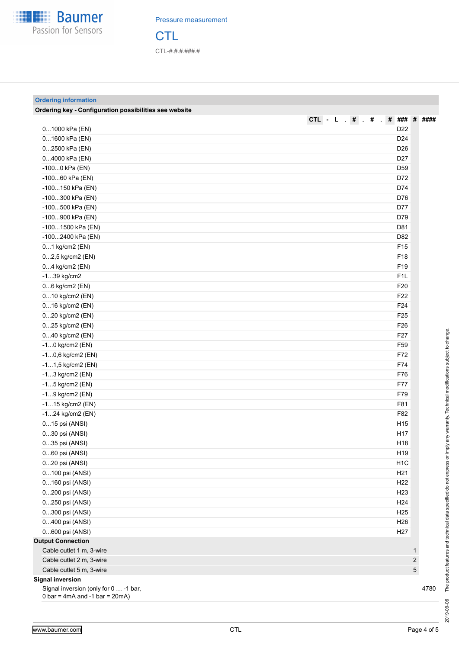

**CTL** CTL-#.#.#.###.#

# **Ordering information**

| Ordering key - Configuration possibilities see website                |                                                  |                         |
|-----------------------------------------------------------------------|--------------------------------------------------|-------------------------|
|                                                                       | # ### #<br>CTL - L $\cdot$ # $\cdot$ #<br>$\sim$ | ####                    |
| 01000 kPa (EN)                                                        | D <sub>22</sub>                                  |                         |
| 01600 kPa (EN)                                                        | D <sub>24</sub>                                  |                         |
| 02500 kPa (EN)                                                        | D <sub>26</sub>                                  |                         |
| 04000 kPa (EN)                                                        | D <sub>27</sub>                                  |                         |
| -1000 kPa (EN)                                                        | D <sub>59</sub>                                  |                         |
| -10060 kPa (EN)                                                       | D72                                              |                         |
| -100150 kPa (EN)                                                      | D74                                              |                         |
| -100300 kPa (EN)                                                      | D76                                              |                         |
| -100500 kPa (EN)                                                      | D77                                              |                         |
| -100900 kPa (EN)                                                      | D79                                              |                         |
| -1001500 kPa (EN)                                                     | D81                                              |                         |
| -1002400 kPa (EN)                                                     | D82                                              |                         |
| 01 kg/cm2 (EN)                                                        | F <sub>15</sub>                                  |                         |
| 02,5 kg/cm2 (EN)                                                      | F18                                              |                         |
| 04 kg/cm2 (EN)                                                        | F19                                              |                         |
| $-139$ kg/cm2                                                         | F <sub>1</sub> L                                 |                         |
| 06 kg/cm2 (EN)                                                        | F20                                              |                         |
| 010 kg/cm2 (EN)                                                       | F <sub>22</sub>                                  |                         |
| 016 kg/cm2 (EN)                                                       | F24                                              |                         |
| 020 kg/cm2 (EN)                                                       | F <sub>25</sub>                                  |                         |
| 025 kg/cm2 (EN)                                                       | F <sub>26</sub>                                  |                         |
| 040 kg/cm2 (EN)                                                       | F <sub>27</sub>                                  |                         |
| $-10$ kg/cm2 (EN)                                                     | F59                                              |                         |
| $-10,6$ kg/cm2 (EN)                                                   | F72                                              |                         |
| $-11,5$ kg/cm2 (EN)                                                   | F74                                              |                         |
| $-13$ kg/cm2 (EN)                                                     | F76                                              |                         |
| -15 kg/cm2 (EN)                                                       | F77                                              |                         |
| -19 kg/cm2 (EN)                                                       | F79                                              |                         |
| -115 kg/cm2 (EN)                                                      | F81                                              |                         |
| -124 kg/cm2 (EN)                                                      | F82                                              |                         |
| 015 psi (ANSI)                                                        | H <sub>15</sub>                                  |                         |
| 030 psi (ANSI)                                                        | H17                                              |                         |
| 035 psi (ANSI)                                                        | H <sub>18</sub>                                  |                         |
| 060 psi (ANSI)                                                        | H19                                              |                         |
| 020 psi (ANSI)                                                        | H <sub>1</sub> C                                 |                         |
| 0100 psi (ANSI)                                                       | H <sub>21</sub>                                  |                         |
| 0160 psi (ANSI)                                                       | H <sub>22</sub>                                  |                         |
| 0200 psi (ANSI)                                                       | H <sub>23</sub>                                  |                         |
| 0250 psi (ANSI)                                                       | H <sub>24</sub>                                  |                         |
| 0300 psi (ANSI)                                                       | H <sub>25</sub>                                  |                         |
| 0400 psi (ANSI)                                                       | H <sub>26</sub>                                  |                         |
| 0600 psi (ANSI)                                                       | H <sub>27</sub>                                  |                         |
| <b>Output Connection</b>                                              |                                                  |                         |
| Cable outlet 1 m, 3-wire                                              | 1                                                |                         |
| Cable outlet 2 m, 3-wire                                              |                                                  | $\overline{\mathbf{c}}$ |
| Cable outlet 5 m, 3-wire                                              |                                                  | 5                       |
| <b>Signal inversion</b>                                               |                                                  |                         |
| Signal inversion (only for 0  -1 bar,                                 |                                                  | 4780                    |
| $0 \text{ bar} = 4 \text{ mA}$ and $-1 \text{ bar} = 20 \text{ mA}$ ) |                                                  |                         |